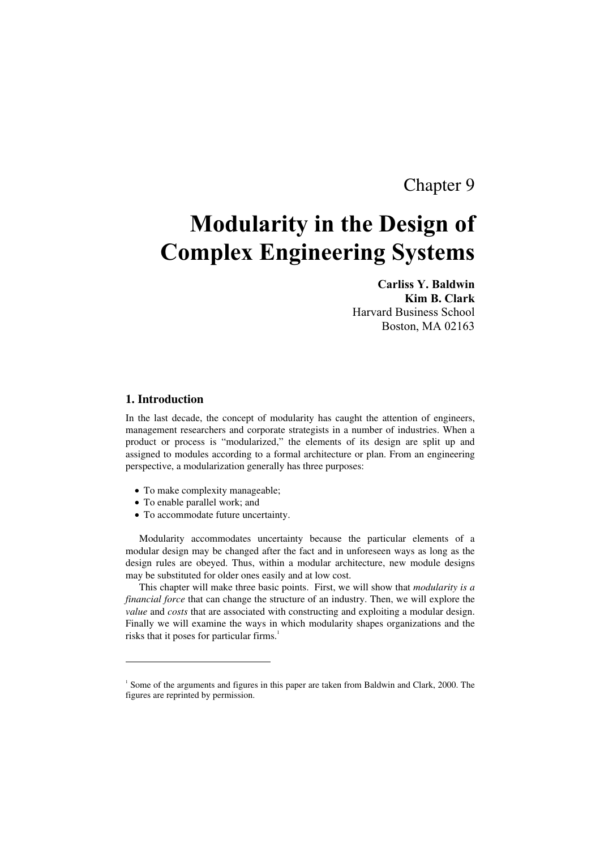# Chapter 9

# **Modularity in the Design of Complex Engineering Systems**

**Carliss Y. Baldwin Kim B. Clark**  Harvard Business School Boston, MA 02163

# **1. Introduction**

j

In the last decade, the concept of modularity has caught the attention of engineers, management researchers and corporate strategists in a number of industries. When a product or process is "modularized," the elements of its design are split up and assigned to modules according to a formal architecture or plan. From an engineering perspective, a modularization generally has three purposes:

- To make complexity manageable;
- To enable parallel work; and
- To accommodate future uncertainty.

Modularity accommodates uncertainty because the particular elements of a modular design may be changed after the fact and in unforeseen ways as long as the design rules are obeyed. Thus, within a modular architecture, new module designs may be substituted for older ones easily and at low cost.

This chapter will make three basic points. First, we will show that *modularity is a financial force* that can change the structure of an industry. Then, we will explore the *value* and *costs* that are associated with constructing and exploiting a modular design. Finally we will examine the ways in which modularity shapes organizations and the risks that it poses for particular firms.<sup>1</sup>

<sup>&</sup>lt;sup>1</sup> Some of the arguments and figures in this paper are taken from Baldwin and Clark, 2000. The figures are reprinted by permission.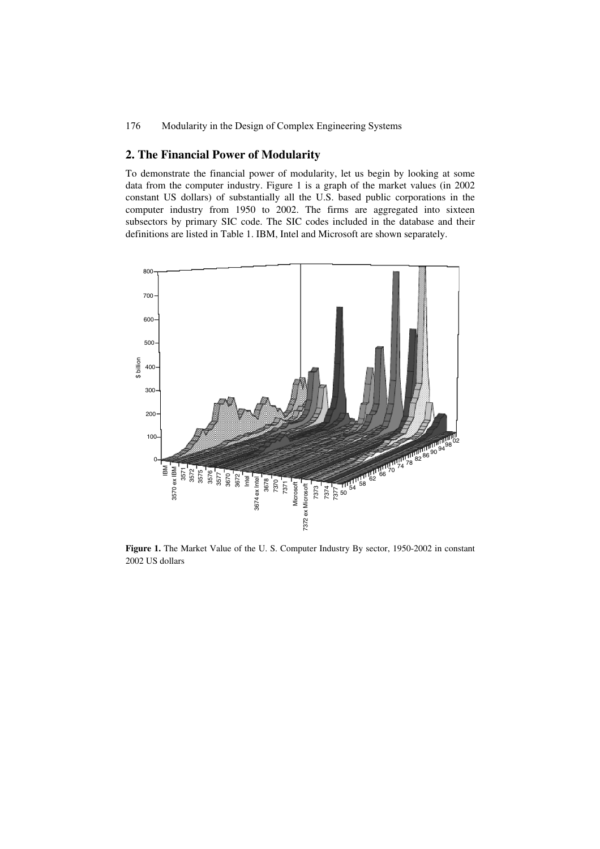# **2. The Financial Power of Modularity**

To demonstrate the financial power of modularity, let us begin by looking at some data from the computer industry. Figure 1 is a graph of the market values (in 2002 constant US dollars) of substantially all the U.S. based public corporations in the computer industry from 1950 to 2002. The firms are aggregated into sixteen subsectors by primary SIC code. The SIC codes included in the database and their definitions are listed in Table 1. IBM, Intel and Microsoft are shown separately.



**Figure 1.** The Market Value of the U. S. Computer Industry By sector, 1950-2002 in constant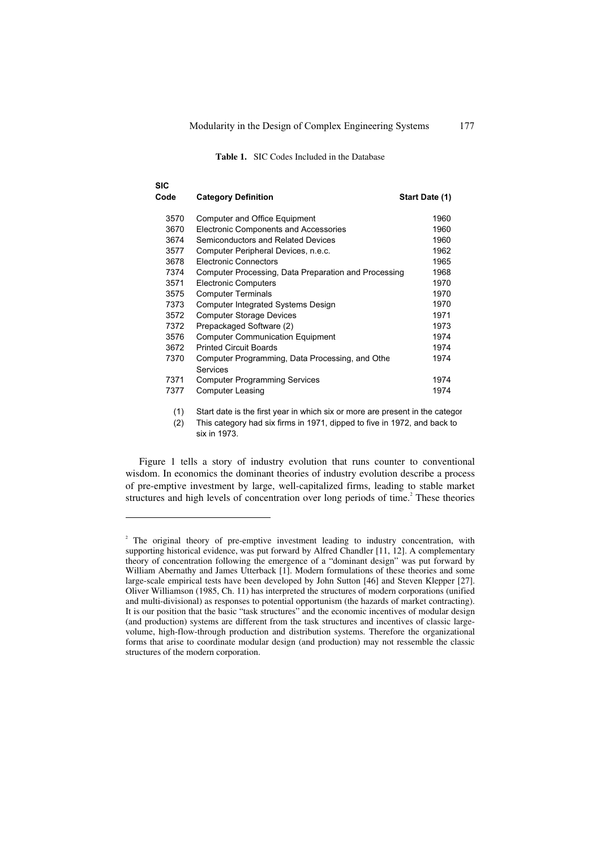| <b>Table 1.</b> SIC Codes Included in the Database |  |  |
|----------------------------------------------------|--|--|
|                                                    |  |  |

| <b>SIC</b> |                                                      |                |
|------------|------------------------------------------------------|----------------|
| Code       | <b>Category Definition</b>                           | Start Date (1) |
| 3570       | Computer and Office Equipment                        | 1960           |
| 3670       | Electronic Components and Accessories                | 1960           |
| 3674       | Semiconductors and Related Devices                   | 1960           |
| 3577       | Computer Peripheral Devices, n.e.c.                  | 1962           |
| 3678       | Electronic Connectors                                | 1965           |
| 7374       | Computer Processing, Data Preparation and Processing | 1968           |
| 3571       | <b>Electronic Computers</b>                          | 1970           |
| 3575       | <b>Computer Terminals</b>                            | 1970           |
| 7373       | Computer Integrated Systems Design                   | 1970           |
| 3572       | <b>Computer Storage Devices</b>                      | 1971           |
| 7372       | Prepackaged Software (2)                             | 1973           |
| 3576       | <b>Computer Communication Equipment</b>              | 1974           |
| 3672       | <b>Printed Circuit Boards</b>                        | 1974           |
| 7370       | Computer Programming, Data Processing, and Othe      | 1974           |
|            | Services                                             |                |
| 7371       | <b>Computer Programming Services</b>                 | 1974           |
| 7377       | Computer Leasing                                     | 1974           |
|            |                                                      |                |

(1) Start date is the first year in which six or more are present in the categor

(2) This category had six firms in 1971, dipped to five in 1972, and back to six in 1973.

Figure 1 tells a story of industry evolution that runs counter to conventional wisdom. In economics the dominant theories of industry evolution describe a process of pre-emptive investment by large, well-capitalized firms, leading to stable market structures and high levels of concentration over long periods of time.<sup>2</sup> These theories

<sup>&</sup>lt;sup>2</sup> The original theory of pre-emptive investment leading to industry concentration, with supporting historical evidence, was put forward by Alfred Chandler [11, 12]. A complementary theory of concentration following the emergence of a "dominant design" was put forward by William Abernathy and James Utterback [1]. Modern formulations of these theories and some large-scale empirical tests have been developed by John Sutton [46] and Steven Klepper [27]. Oliver Williamson (1985, Ch. 11) has interpreted the structures of modern corporations (unified and multi-divisional) as responses to potential opportunism (the hazards of market contracting). It is our position that the basic "task structures" and the economic incentives of modular design (and production) systems are different from the task structures and incentives of classic largevolume, high-flow-through production and distribution systems. Therefore the organizational forms that arise to coordinate modular design (and production) may not ressemble the classic structures of the modern corporation.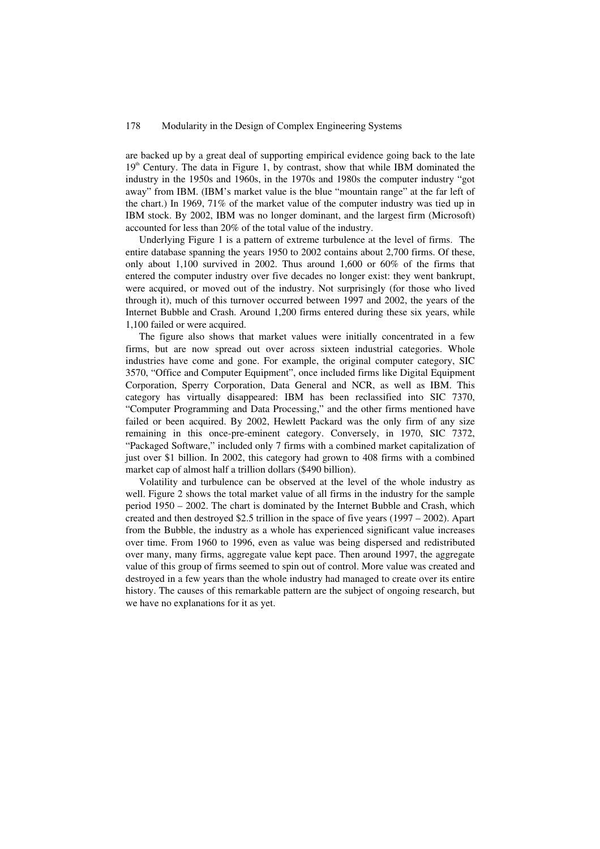are backed up by a great deal of supporting empirical evidence going back to the late  $19<sup>th</sup>$  Century. The data in Figure 1, by contrast, show that while IBM dominated the industry in the 1950s and 1960s, in the 1970s and 1980s the computer industry "got away" from IBM. (IBM's market value is the blue "mountain range" at the far left of the chart.) In 1969, 71% of the market value of the computer industry was tied up in IBM stock. By 2002, IBM was no longer dominant, and the largest firm (Microsoft) accounted for less than 20% of the total value of the industry.

Underlying Figure 1 is a pattern of extreme turbulence at the level of firms. The entire database spanning the years 1950 to 2002 contains about 2,700 firms. Of these, only about 1,100 survived in 2002. Thus around 1,600 or 60% of the firms that entered the computer industry over five decades no longer exist: they went bankrupt, were acquired, or moved out of the industry. Not surprisingly (for those who lived through it), much of this turnover occurred between 1997 and 2002, the years of the Internet Bubble and Crash. Around 1,200 firms entered during these six years, while 1,100 failed or were acquired.

The figure also shows that market values were initially concentrated in a few firms, but are now spread out over across sixteen industrial categories. Whole industries have come and gone. For example, the original computer category, SIC 3570, "Office and Computer Equipment", once included firms like Digital Equipment Corporation, Sperry Corporation, Data General and NCR, as well as IBM. This category has virtually disappeared: IBM has been reclassified into SIC 7370, "Computer Programming and Data Processing," and the other firms mentioned have failed or been acquired. By 2002, Hewlett Packard was the only firm of any size remaining in this once-pre-eminent category. Conversely, in 1970, SIC 7372, "Packaged Software," included only 7 firms with a combined market capitalization of just over \$1 billion. In 2002, this category had grown to 408 firms with a combined market cap of almost half a trillion dollars (\$490 billion).

Volatility and turbulence can be observed at the level of the whole industry as well. Figure 2 shows the total market value of all firms in the industry for the sample period 1950 – 2002. The chart is dominated by the Internet Bubble and Crash, which created and then destroyed \$2.5 trillion in the space of five years (1997 – 2002). Apart from the Bubble, the industry as a whole has experienced significant value increases over time. From 1960 to 1996, even as value was being dispersed and redistributed over many, many firms, aggregate value kept pace. Then around 1997, the aggregate value of this group of firms seemed to spin out of control. More value was created and destroyed in a few years than the whole industry had managed to create over its entire history. The causes of this remarkable pattern are the subject of ongoing research, but we have no explanations for it as yet.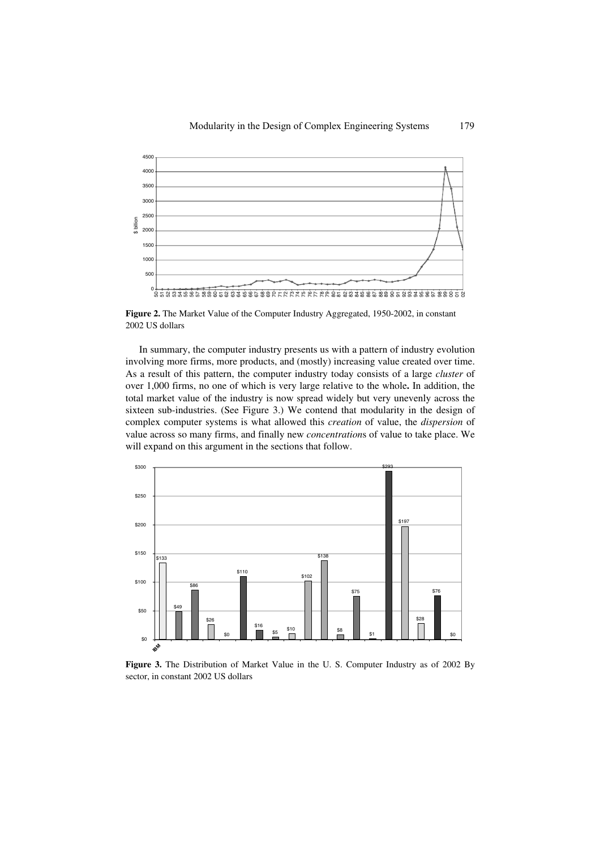

**Figure 2.** The Market Value of the Computer Industry Aggregated, 1950-2002, in constant 2002 US dollars

In summary, the computer industry presents us with a pattern of industry evolution involving more firms, more products, and (mostly) increasing value created over time. As a result of this pattern, the computer industry today consists of a large *cluster* of over 1,000 firms, no one of which is very large relative to the whole**.** In addition, the total market value of the industry is now spread widely but very unevenly across the sixteen sub-industries. (See Figure 3.) We contend that modularity in the design of complex computer systems is what allowed this *creation* of value, the *dispersion* of value across so many firms, and finally new *concentration*s of value to take place. We will expand on this argument in the sections that follow.



**Figure 3.** The Distribution of Market Value in the U. S. Computer Industry as of 2002 By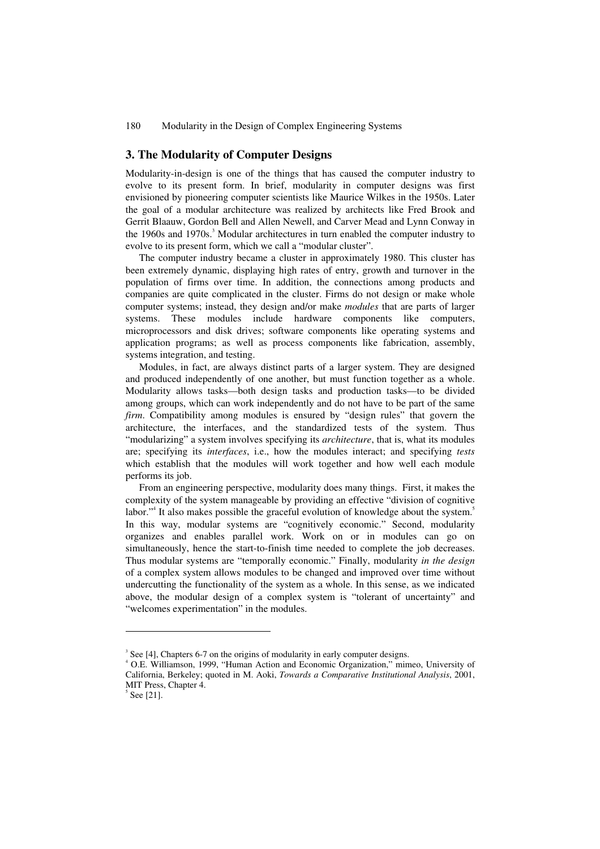# **3. The Modularity of Computer Designs**

Modularity-in-design is one of the things that has caused the computer industry to evolve to its present form. In brief, modularity in computer designs was first envisioned by pioneering computer scientists like Maurice Wilkes in the 1950s. Later the goal of a modular architecture was realized by architects like Fred Brook and Gerrit Blaauw, Gordon Bell and Allen Newell, and Carver Mead and Lynn Conway in the 1960s and 1970s.<sup>3</sup> Modular architectures in turn enabled the computer industry to evolve to its present form, which we call a "modular cluster".

The computer industry became a cluster in approximately 1980. This cluster has been extremely dynamic, displaying high rates of entry, growth and turnover in the population of firms over time. In addition, the connections among products and companies are quite complicated in the cluster. Firms do not design or make whole computer systems; instead, they design and/or make *modules* that are parts of larger systems. These modules include hardware components like computers, microprocessors and disk drives; software components like operating systems and application programs; as well as process components like fabrication, assembly, systems integration, and testing.

Modules, in fact, are always distinct parts of a larger system. They are designed and produced independently of one another, but must function together as a whole. Modularity allows tasks—both design tasks and production tasks—to be divided among groups, which can work independently and do not have to be part of the same *firm*. Compatibility among modules is ensured by "design rules" that govern the architecture, the interfaces, and the standardized tests of the system. Thus "modularizing" a system involves specifying its *architecture*, that is, what its modules are; specifying its *interfaces*, i.e., how the modules interact; and specifying *tests* which establish that the modules will work together and how well each module performs its job.

From an engineering perspective, modularity does many things. First, it makes the complexity of the system manageable by providing an effective "division of cognitive labor."<sup>4</sup> It also makes possible the graceful evolution of knowledge about the system.<sup>5</sup> In this way, modular systems are "cognitively economic." Second, modularity organizes and enables parallel work. Work on or in modules can go on simultaneously, hence the start-to-finish time needed to complete the job decreases. Thus modular systems are "temporally economic." Finally, modularity *in the design* of a complex system allows modules to be changed and improved over time without undercutting the functionality of the system as a whole. In this sense, as we indicated above, the modular design of a complex system is "tolerant of uncertainty" and "welcomes experimentation" in the modules.

<sup>&</sup>lt;sup>3</sup> See [4], Chapters 6-7 on the origins of modularity in early computer designs.

<sup>4</sup> O.E. Williamson, 1999, "Human Action and Economic Organization," mimeo, University of California, Berkeley; quoted in M. Aoki, *Towards a Comparative Institutional Analysis*, 2001, MIT Press, Chapter 4.

 $<sup>5</sup>$  See [21].</sup>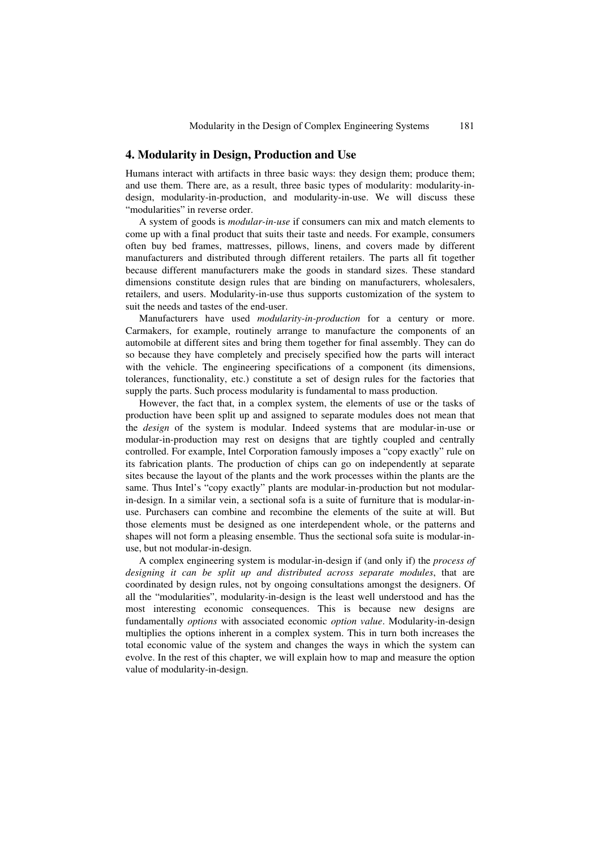#### **4. Modularity in Design, Production and Use**

Humans interact with artifacts in three basic ways: they design them; produce them; and use them. There are, as a result, three basic types of modularity: modularity-indesign, modularity-in-production, and modularity-in-use. We will discuss these "modularities" in reverse order.

A system of goods is *modular-in-use* if consumers can mix and match elements to come up with a final product that suits their taste and needs. For example, consumers often buy bed frames, mattresses, pillows, linens, and covers made by different manufacturers and distributed through different retailers. The parts all fit together because different manufacturers make the goods in standard sizes. These standard dimensions constitute design rules that are binding on manufacturers, wholesalers, retailers, and users. Modularity-in-use thus supports customization of the system to suit the needs and tastes of the end-user.

Manufacturers have used *modularity-in-production* for a century or more. Carmakers, for example, routinely arrange to manufacture the components of an automobile at different sites and bring them together for final assembly. They can do so because they have completely and precisely specified how the parts will interact with the vehicle. The engineering specifications of a component (its dimensions, tolerances, functionality, etc.) constitute a set of design rules for the factories that supply the parts. Such process modularity is fundamental to mass production.

However, the fact that, in a complex system, the elements of use or the tasks of production have been split up and assigned to separate modules does not mean that the *design* of the system is modular. Indeed systems that are modular-in-use or modular-in-production may rest on designs that are tightly coupled and centrally controlled. For example, Intel Corporation famously imposes a "copy exactly" rule on its fabrication plants. The production of chips can go on independently at separate sites because the layout of the plants and the work processes within the plants are the same. Thus Intel's "copy exactly" plants are modular-in-production but not modularin-design. In a similar vein, a sectional sofa is a suite of furniture that is modular-inuse. Purchasers can combine and recombine the elements of the suite at will. But those elements must be designed as one interdependent whole, or the patterns and shapes will not form a pleasing ensemble. Thus the sectional sofa suite is modular-inuse, but not modular-in-design.

A complex engineering system is modular-in-design if (and only if) the *process of designing it can be split up and distributed across separate modules*, that are coordinated by design rules, not by ongoing consultations amongst the designers. Of all the "modularities", modularity-in-design is the least well understood and has the most interesting economic consequences. This is because new designs are fundamentally *options* with associated economic *option value*. Modularity-in-design multiplies the options inherent in a complex system. This in turn both increases the total economic value of the system and changes the ways in which the system can evolve. In the rest of this chapter, we will explain how to map and measure the option value of modularity-in-design.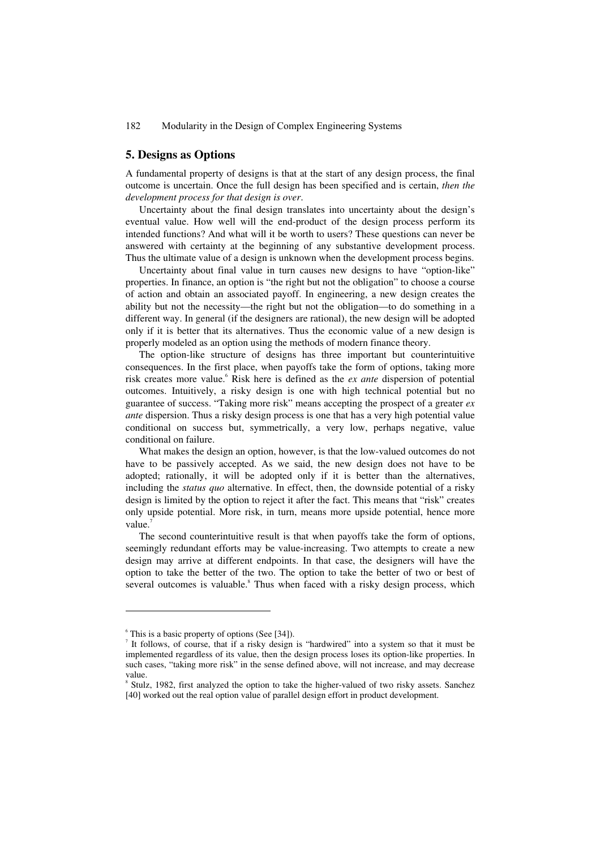# **5. Designs as Options**

A fundamental property of designs is that at the start of any design process, the final outcome is uncertain. Once the full design has been specified and is certain, *then the development process for that design is over*.

Uncertainty about the final design translates into uncertainty about the design's eventual value. How well will the end-product of the design process perform its intended functions? And what will it be worth to users? These questions can never be answered with certainty at the beginning of any substantive development process. Thus the ultimate value of a design is unknown when the development process begins.

Uncertainty about final value in turn causes new designs to have "option-like" properties. In finance, an option is "the right but not the obligation" to choose a course of action and obtain an associated payoff. In engineering, a new design creates the ability but not the necessity—the right but not the obligation—to do something in a different way. In general (if the designers are rational), the new design will be adopted only if it is better that its alternatives. Thus the economic value of a new design is properly modeled as an option using the methods of modern finance theory.

The option-like structure of designs has three important but counterintuitive consequences. In the first place, when payoffs take the form of options, taking more risk creates more value.<sup>6</sup> Risk here is defined as the *ex ante* dispersion of potential outcomes. Intuitively, a risky design is one with high technical potential but no guarantee of success. "Taking more risk" means accepting the prospect of a greater *ex ante* dispersion. Thus a risky design process is one that has a very high potential value conditional on success but, symmetrically, a very low, perhaps negative, value conditional on failure.

What makes the design an option, however, is that the low-valued outcomes do not have to be passively accepted. As we said, the new design does not have to be adopted; rationally, it will be adopted only if it is better than the alternatives, including the *status quo* alternative. In effect, then, the downside potential of a risky design is limited by the option to reject it after the fact. This means that "risk" creates only upside potential. More risk, in turn, means more upside potential, hence more value.<sup>7</sup>

The second counterintuitive result is that when payoffs take the form of options, seemingly redundant efforts may be value-increasing. Two attempts to create a new design may arrive at different endpoints. In that case, the designers will have the option to take the better of the two. The option to take the better of two or best of several outcomes is valuable.<sup>8</sup> Thus when faced with a risky design process, which

1

 $6$  This is a basic property of options (See [34]).

<sup>&</sup>lt;sup>7</sup> It follows, of course, that if a risky design is "hardwired" into a system so that it must be implemented regardless of its value, then the design process loses its option-like properties. In such cases, "taking more risk" in the sense defined above, will not increase, and may decrease value.

<sup>8</sup> Stulz, 1982, first analyzed the option to take the higher-valued of two risky assets. Sanchez [40] worked out the real option value of parallel design effort in product development.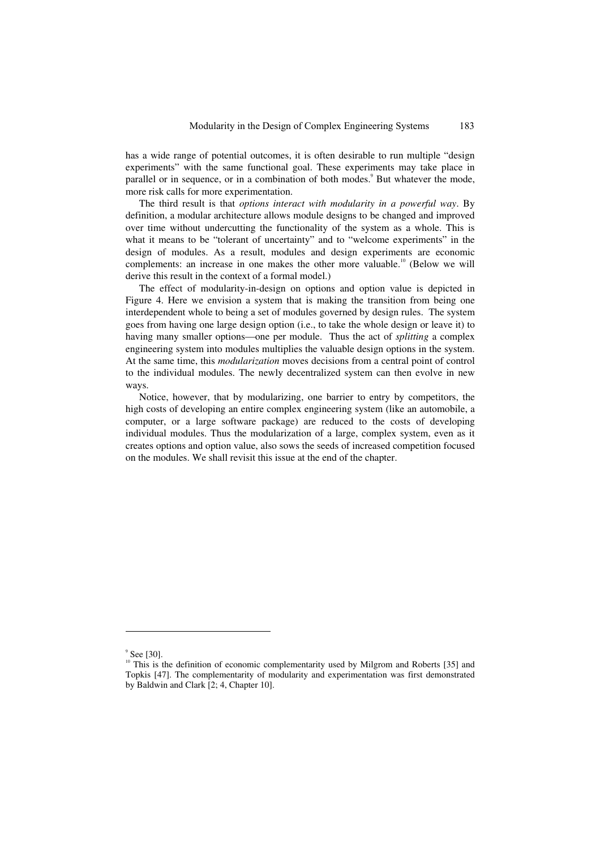has a wide range of potential outcomes, it is often desirable to run multiple "design experiments" with the same functional goal. These experiments may take place in parallel or in sequence, or in a combination of both modes.<sup>9</sup> But whatever the mode, more risk calls for more experimentation.

The third result is that *options interact with modularity in a powerful way*. By definition, a modular architecture allows module designs to be changed and improved over time without undercutting the functionality of the system as a whole. This is what it means to be "tolerant of uncertainty" and to "welcome experiments" in the design of modules. As a result, modules and design experiments are economic complements: an increase in one makes the other more valuable.<sup>10</sup> (Below we will derive this result in the context of a formal model.)

The effect of modularity-in-design on options and option value is depicted in Figure 4. Here we envision a system that is making the transition from being one interdependent whole to being a set of modules governed by design rules. The system goes from having one large design option (i.e., to take the whole design or leave it) to having many smaller options—one per module. Thus the act of *splitting* a complex engineering system into modules multiplies the valuable design options in the system. At the same time, this *modularization* moves decisions from a central point of control to the individual modules. The newly decentralized system can then evolve in new ways.

Notice, however, that by modularizing, one barrier to entry by competitors, the high costs of developing an entire complex engineering system (like an automobile, a computer, or a large software package) are reduced to the costs of developing individual modules. Thus the modularization of a large, complex system, even as it creates options and option value, also sows the seeds of increased competition focused on the modules. We shall revisit this issue at the end of the chapter.

 $\degree$  See [30].

<sup>&</sup>lt;sup>10</sup> This is the definition of economic complementarity used by Milgrom and Roberts [35] and Topkis [47]. The complementarity of modularity and experimentation was first demonstrated by Baldwin and Clark [2; 4, Chapter 10].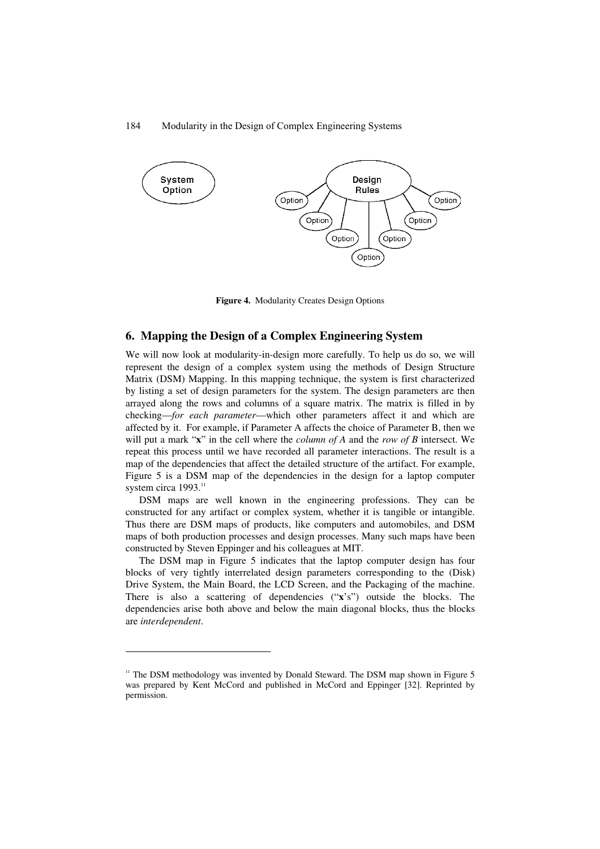

**Figure 4.** Modularity Creates Design Options

# **6. Mapping the Design of a Complex Engineering System**

We will now look at modularity-in-design more carefully. To help us do so, we will represent the design of a complex system using the methods of Design Structure Matrix (DSM) Mapping. In this mapping technique, the system is first characterized by listing a set of design parameters for the system. The design parameters are then arrayed along the rows and columns of a square matrix. The matrix is filled in by checking—*for each parameter*—which other parameters affect it and which are affected by it. For example, if Parameter A affects the choice of Parameter B, then we will put a mark "**x**" in the cell where the *column of A* and the *row of B* intersect. We repeat this process until we have recorded all parameter interactions. The result is a map of the dependencies that affect the detailed structure of the artifact. For example, Figure 5 is a DSM map of the dependencies in the design for a laptop computer system circa 1993.<sup>11</sup>

DSM maps are well known in the engineering professions. They can be constructed for any artifact or complex system, whether it is tangible or intangible. Thus there are DSM maps of products, like computers and automobiles, and DSM maps of both production processes and design processes. Many such maps have been constructed by Steven Eppinger and his colleagues at MIT.

The DSM map in Figure 5 indicates that the laptop computer design has four blocks of very tightly interrelated design parameters corresponding to the (Disk) Drive System, the Main Board, the LCD Screen, and the Packaging of the machine. There is also a scattering of dependencies ("**x**'s") outside the blocks. The dependencies arise both above and below the main diagonal blocks, thus the blocks are *interdependent*.

<sup>&</sup>lt;sup>11</sup> The DSM methodology was invented by Donald Steward. The DSM map shown in Figure 5 was prepared by Kent McCord and published in McCord and Eppinger [32]. Reprinted by permission.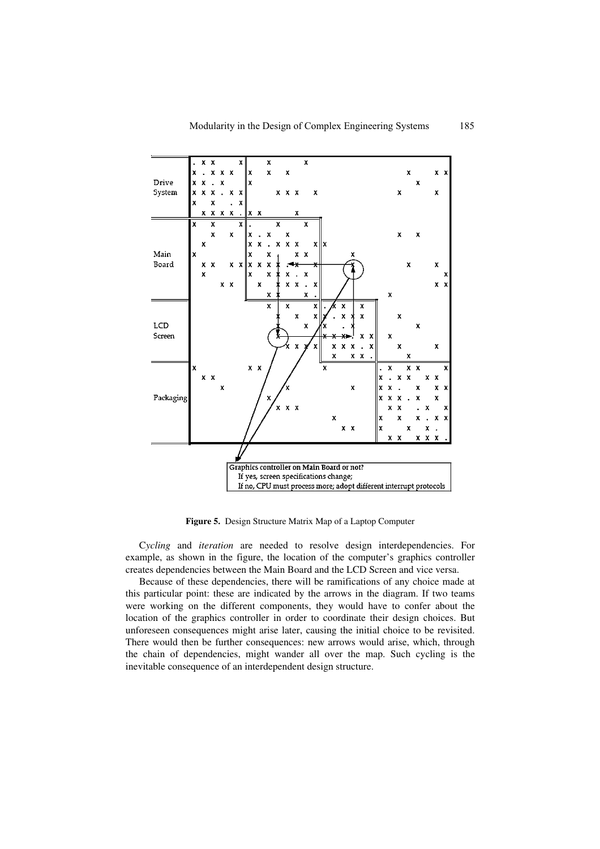

**Figure 5.** Design Structure Matrix Map of a Laptop Computer

C*ycling* and *iteration* are needed to resolve design interdependencies. For example, as shown in the figure, the location of the computer's graphics controller creates dependencies between the Main Board and the LCD Screen and vice versa.

Because of these dependencies, there will be ramifications of any choice made at this particular point: these are indicated by the arrows in the diagram. If two teams were working on the different components, they would have to confer about the location of the graphics controller in order to coordinate their design choices. But unforeseen consequences might arise later, causing the initial choice to be revisited. There would then be further consequences: new arrows would arise, which, through the chain of dependencies, might wander all over the map. Such cycling is the inevitable consequence of an interdependent design structure.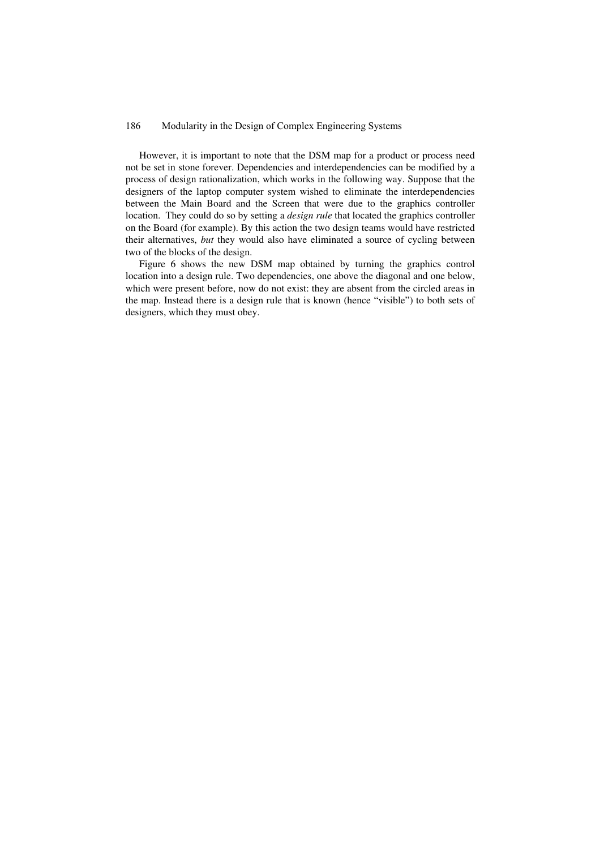However, it is important to note that the DSM map for a product or process need not be set in stone forever. Dependencies and interdependencies can be modified by a process of design rationalization, which works in the following way. Suppose that the designers of the laptop computer system wished to eliminate the interdependencies between the Main Board and the Screen that were due to the graphics controller location. They could do so by setting a *design rule* that located the graphics controller on the Board (for example). By this action the two design teams would have restricted their alternatives, *but* they would also have eliminated a source of cycling between two of the blocks of the design.

Figure 6 shows the new DSM map obtained by turning the graphics control location into a design rule. Two dependencies, one above the diagonal and one below, which were present before, now do not exist: they are absent from the circled areas in the map. Instead there is a design rule that is known (hence "visible") to both sets of designers, which they must obey.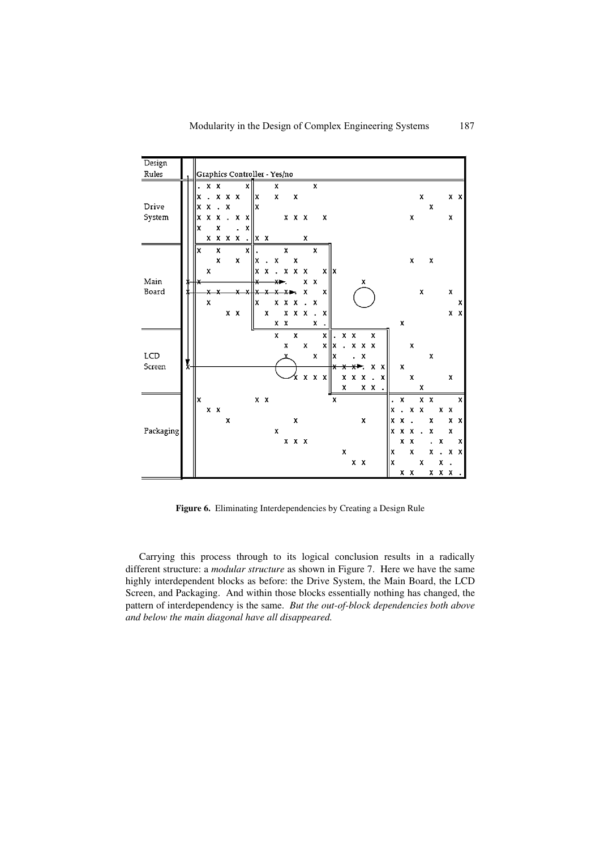

**Figure 6.** Eliminating Interdependencies by Creating a Design Rule

Carrying this process through to its logical conclusion results in a radically different structure: a *modular structure* as shown in Figure 7. Here we have the same highly interdependent blocks as before: the Drive System, the Main Board, the LCD Screen, and Packaging. And within those blocks essentially nothing has changed, the pattern of interdependency is the same. *But the out-of-block dependencies both above and below the main diagonal have all disappeared.*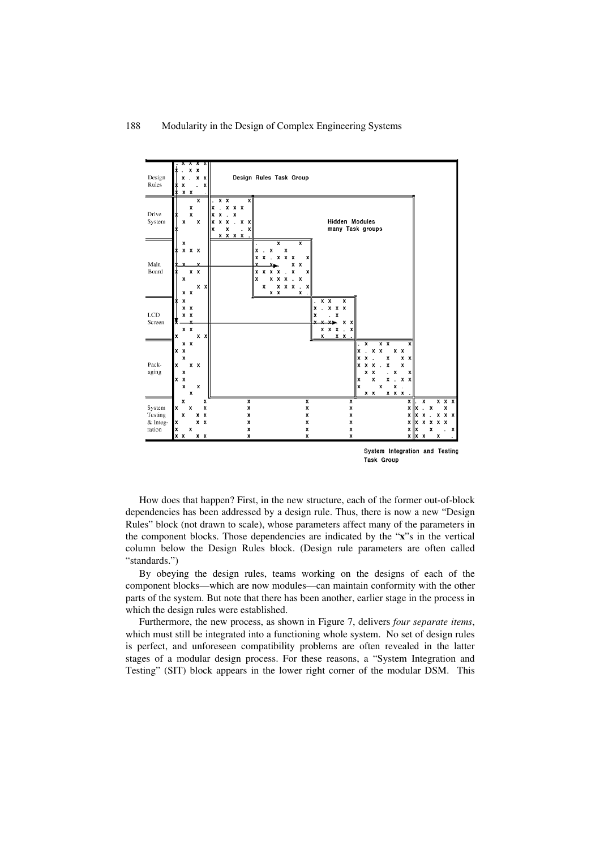

How does that happen? First, in the new structure, each of the former out-of-block dependencies has been addressed by a design rule. Thus, there is now a new "Design Rules" block (not drawn to scale), whose parameters affect many of the parameters in the component blocks. Those dependencies are indicated by the "**x**"s in the vertical column below the Design Rules block. (Design rule parameters are often called "standards.")

By obeying the design rules, teams working on the designs of each of the component blocks—which are now modules—can maintain conformity with the other parts of the system. But note that there has been another, earlier stage in the process in which the design rules were established.

Furthermore, the new process, as shown in Figure 7, delivers *four separate items*, which must still be integrated into a functioning whole system. No set of design rules is perfect, and unforeseen compatibility problems are often revealed in the latter stages of a modular design process. For these reasons, a "System Integration and Testing" (SIT) block appears in the lower right corner of the modular DSM. This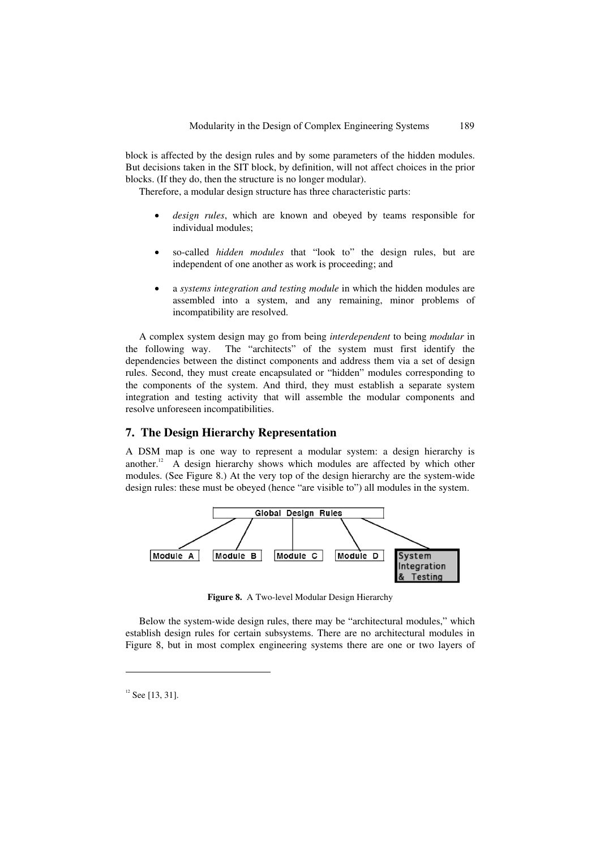block is affected by the design rules and by some parameters of the hidden modules. But decisions taken in the SIT block, by definition, will not affect choices in the prior blocks. (If they do, then the structure is no longer modular).

Therefore, a modular design structure has three characteristic parts:

- x *design rules*, which are known and obeyed by teams responsible for individual modules;
- x so-called *hidden modules* that "look to" the design rules, but are independent of one another as work is proceeding; and
- x a *systems integration and testing module* in which the hidden modules are assembled into a system, and any remaining, minor problems of incompatibility are resolved.

A complex system design may go from being *interdependent* to being *modular* in the following way. The "architects" of the system must first identify the dependencies between the distinct components and address them via a set of design rules. Second, they must create encapsulated or "hidden" modules corresponding to the components of the system. And third, they must establish a separate system integration and testing activity that will assemble the modular components and resolve unforeseen incompatibilities.

# **7. The Design Hierarchy Representation**

A DSM map is one way to represent a modular system: a design hierarchy is another.<sup>12</sup> A design hierarchy shows which modules are affected by which other modules. (See Figure 8.) At the very top of the design hierarchy are the system-wide design rules: these must be obeyed (hence "are visible to") all modules in the system.



**Figure 8.** A Two-level Modular Design Hierarchy

Below the system-wide design rules, there may be "architectural modules," which establish design rules for certain subsystems. There are no architectural modules in Figure 8, but in most complex engineering systems there are one or two layers of

 $12$  See [13, 31].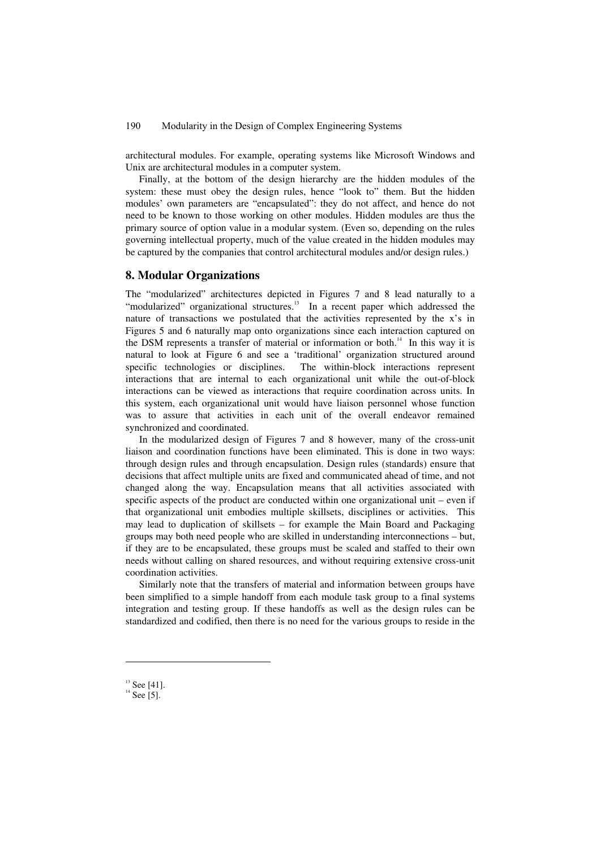architectural modules. For example, operating systems like Microsoft Windows and Unix are architectural modules in a computer system.

Finally, at the bottom of the design hierarchy are the hidden modules of the system: these must obey the design rules, hence "look to" them. But the hidden modules' own parameters are "encapsulated": they do not affect, and hence do not need to be known to those working on other modules. Hidden modules are thus the primary source of option value in a modular system. (Even so, depending on the rules governing intellectual property, much of the value created in the hidden modules may be captured by the companies that control architectural modules and/or design rules.)

# **8. Modular Organizations**

The "modularized" architectures depicted in Figures 7 and 8 lead naturally to a "modularized" organizational structures.<sup>13</sup> In a recent paper which addressed the nature of transactions we postulated that the activities represented by the x's in Figures 5 and 6 naturally map onto organizations since each interaction captured on the DSM represents a transfer of material or information or both.<sup>14</sup> In this way it is natural to look at Figure 6 and see a 'traditional' organization structured around specific technologies or disciplines. The within-block interactions represent interactions that are internal to each organizational unit while the out-of-block interactions can be viewed as interactions that require coordination across units. In this system, each organizational unit would have liaison personnel whose function was to assure that activities in each unit of the overall endeavor remained synchronized and coordinated.

In the modularized design of Figures 7 and 8 however, many of the cross-unit liaison and coordination functions have been eliminated. This is done in two ways: through design rules and through encapsulation. Design rules (standards) ensure that decisions that affect multiple units are fixed and communicated ahead of time, and not changed along the way. Encapsulation means that all activities associated with specific aspects of the product are conducted within one organizational unit – even if that organizational unit embodies multiple skillsets, disciplines or activities. This may lead to duplication of skillsets – for example the Main Board and Packaging groups may both need people who are skilled in understanding interconnections – but, if they are to be encapsulated, these groups must be scaled and staffed to their own needs without calling on shared resources, and without requiring extensive cross-unit coordination activities.

Similarly note that the transfers of material and information between groups have been simplified to a simple handoff from each module task group to a final systems integration and testing group. If these handoffs as well as the design rules can be standardized and codified, then there is no need for the various groups to reside in the

 $13$  See [41].

 $14$  See [5].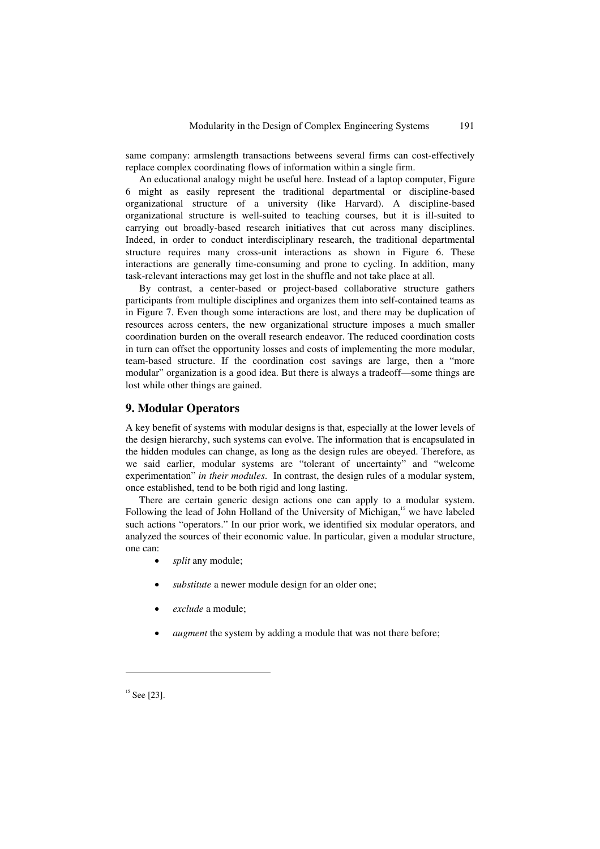same company: armslength transactions betweens several firms can cost-effectively replace complex coordinating flows of information within a single firm.

An educational analogy might be useful here. Instead of a laptop computer, Figure 6 might as easily represent the traditional departmental or discipline-based organizational structure of a university (like Harvard). A discipline-based organizational structure is well-suited to teaching courses, but it is ill-suited to carrying out broadly-based research initiatives that cut across many disciplines. Indeed, in order to conduct interdisciplinary research, the traditional departmental structure requires many cross-unit interactions as shown in Figure 6. These interactions are generally time-consuming and prone to cycling. In addition, many task-relevant interactions may get lost in the shuffle and not take place at all.

By contrast, a center-based or project-based collaborative structure gathers participants from multiple disciplines and organizes them into self-contained teams as in Figure 7. Even though some interactions are lost, and there may be duplication of resources across centers, the new organizational structure imposes a much smaller coordination burden on the overall research endeavor. The reduced coordination costs in turn can offset the opportunity losses and costs of implementing the more modular, team-based structure. If the coordination cost savings are large, then a "more modular" organization is a good idea. But there is always a tradeoff—some things are lost while other things are gained.

# **9. Modular Operators**

A key benefit of systems with modular designs is that, especially at the lower levels of the design hierarchy, such systems can evolve. The information that is encapsulated in the hidden modules can change, as long as the design rules are obeyed. Therefore, as we said earlier, modular systems are "tolerant of uncertainty" and "welcome experimentation" *in their modules*. In contrast, the design rules of a modular system, once established, tend to be both rigid and long lasting.

There are certain generic design actions one can apply to a modular system. Following the lead of John Holland of the University of Michigan,<sup>15</sup> we have labeled such actions "operators." In our prior work, we identified six modular operators, and analyzed the sources of their economic value. In particular, given a modular structure, one can:

- split any module;
- substitute a newer module design for an older one;
- x *exclude* a module;
- *augment* the system by adding a module that was not there before;

 $15$  See [23].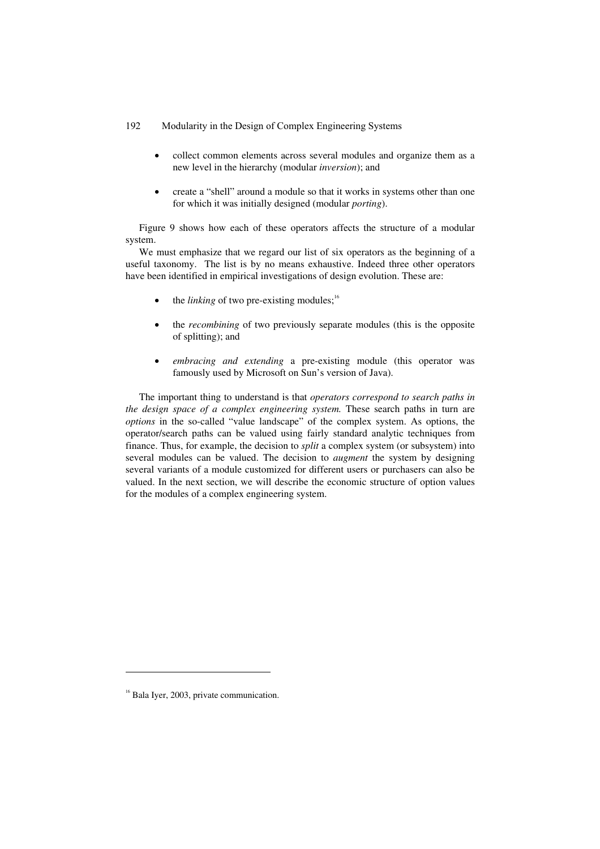- 192 Modularity in the Design of Complex Engineering Systems
	- collect common elements across several modules and organize them as a new level in the hierarchy (modular *inversion*); and
	- create a "shell" around a module so that it works in systems other than one for which it was initially designed (modular *porting*).

Figure 9 shows how each of these operators affects the structure of a modular system.

We must emphasize that we regard our list of six operators as the beginning of a useful taxonomy. The list is by no means exhaustive. Indeed three other operators have been identified in empirical investigations of design evolution. These are:

- the *linking* of two pre-existing modules;<sup>16</sup>
- the *recombining* of two previously separate modules (this is the opposite of splitting); and
- *embracing and extending* a pre-existing module (this operator was famously used by Microsoft on Sun's version of Java).

The important thing to understand is that *operators correspond to search paths in the design space of a complex engineering system.* These search paths in turn are *options* in the so-called "value landscape" of the complex system. As options, the operator/search paths can be valued using fairly standard analytic techniques from finance. Thus, for example, the decision to *split* a complex system (or subsystem) into several modules can be valued. The decision to *augment* the system by designing several variants of a module customized for different users or purchasers can also be valued. In the next section, we will describe the economic structure of option values for the modules of a complex engineering system.

 $16$  Bala Iyer, 2003, private communication.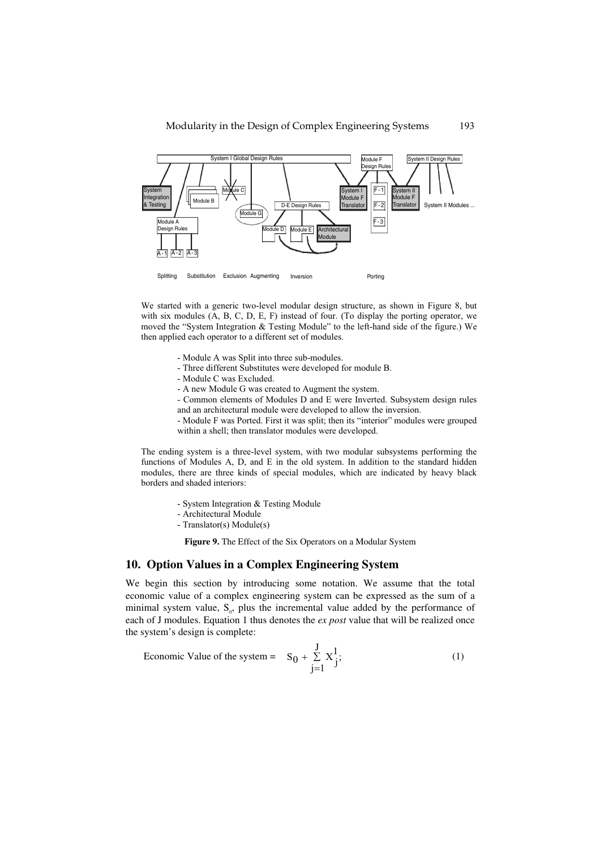

We started with a generic two-level modular design structure, as shown in Figure 8, but with six modules (A, B, C, D, E, F) instead of four. (To display the porting operator, we moved the "System Integration & Testing Module" to the left-hand side of the figure.) We then applied each operator to a different set of modules.

- Module A was Split into three sub-modules.
- Three different Substitutes were developed for module B.
- Module C was Excluded.
- A new Module G was created to Augment the system.
- Common elements of Modules D and E were Inverted. Subsystem design rules and an architectural module were developed to allow the inversion.

 - Module F was Ported. First it was split; then its "interior" modules were grouped within a shell; then translator modules were developed.

The ending system is a three-level system, with two modular subsystems performing the functions of Modules A, D, and E in the old system. In addition to the standard hidden modules, there are three kinds of special modules, which are indicated by heavy black borders and shaded interiors:

- System Integration & Testing Module
- Architectural Module
- Translator(s) Module(s)

**Figure 9.** The Effect of the Six Operators on a Modular System

# **10. Option Values in a Complex Engineering System**

We begin this section by introducing some notation. We assume that the total economic value of a complex engineering system can be expressed as the sum of a minimal system value,  $S_0$ , plus the incremental value added by the performance of each of J modules. Equation 1 thus denotes the *ex post* value that will be realized once the system's design is complete:

Economic Value of the system = 
$$
S_0 + \sum_{j=1}^{J} X_j^1;
$$
 (1)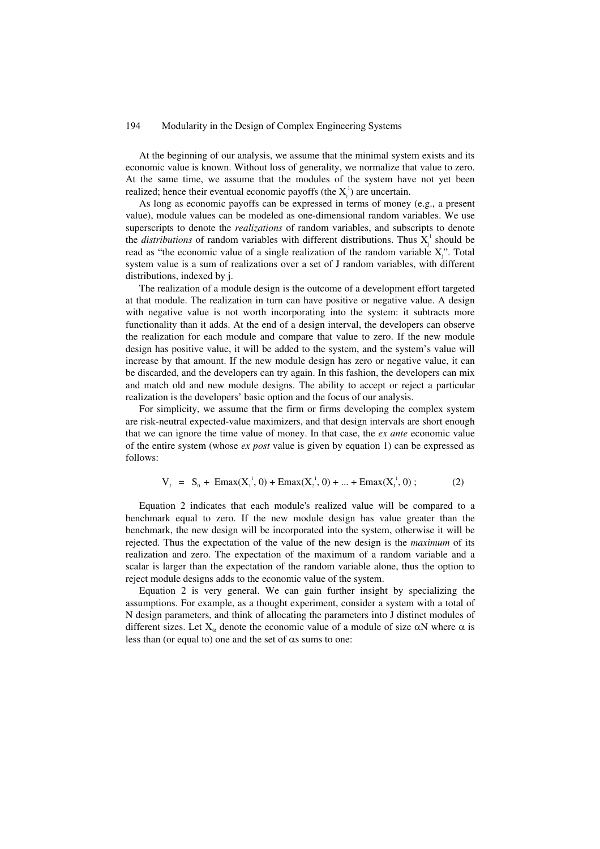At the beginning of our analysis, we assume that the minimal system exists and its economic value is known. Without loss of generality, we normalize that value to zero. At the same time, we assume that the modules of the system have not yet been realized; hence their eventual economic payoffs (the  $X_j^{\perp}$ ) are uncertain.

As long as economic payoffs can be expressed in terms of money (e.g., a present value), module values can be modeled as one-dimensional random variables. We use superscripts to denote the *realizations* of random variables, and subscripts to denote the *distributions* of random variables with different distributions. Thus  $X_j^1$  should be read as "the economic value of a single realization of the random variable  $X_j$ ". Total system value is a sum of realizations over a set of J random variables, with different distributions, indexed by j.

The realization of a module design is the outcome of a development effort targeted at that module. The realization in turn can have positive or negative value. A design with negative value is not worth incorporating into the system: it subtracts more functionality than it adds. At the end of a design interval, the developers can observe the realization for each module and compare that value to zero. If the new module design has positive value, it will be added to the system, and the system's value will increase by that amount. If the new module design has zero or negative value, it can be discarded, and the developers can try again. In this fashion, the developers can mix and match old and new module designs. The ability to accept or reject a particular realization is the developers' basic option and the focus of our analysis.

For simplicity, we assume that the firm or firms developing the complex system are risk-neutral expected-value maximizers, and that design intervals are short enough that we can ignore the time value of money. In that case, the *ex ante* economic value of the entire system (whose *ex post* value is given by equation 1) can be expressed as follows:

$$
V_1 = S_0 + Emax(X_1^1, 0) + Emax(X_2^1, 0) + ... + Emax(X_i^1, 0); \qquad (2)
$$

Equation 2 indicates that each module's realized value will be compared to a benchmark equal to zero. If the new module design has value greater than the benchmark, the new design will be incorporated into the system, otherwise it will be rejected. Thus the expectation of the value of the new design is the *maximum* of its realization and zero. The expectation of the maximum of a random variable and a scalar is larger than the expectation of the random variable alone, thus the option to reject module designs adds to the economic value of the system.

Equation 2 is very general. We can gain further insight by specializing the assumptions. For example, as a thought experiment, consider a system with a total of N design parameters, and think of allocating the parameters into J distinct modules of different sizes. Let  $X_\alpha$  denote the economic value of a module of size  $\alpha N$  where  $\alpha$  is less than (or equal to) one and the set of  $\alpha$ s sums to one: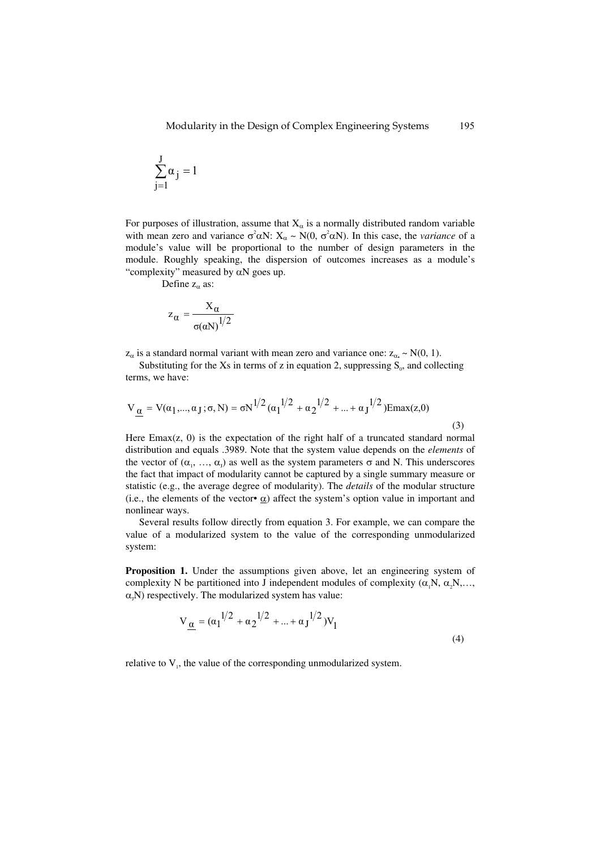$$
\sum_{j=1}^{J} \alpha_j = 1
$$

For purposes of illustration, assume that  $X_\alpha$  is a normally distributed random variable with mean zero and variance  $\sigma^2 \alpha N$ :  $X_\alpha \sim N(0, \sigma^2 \alpha N)$ . In this case, the *variance* of a module's value will be proportional to the number of design parameters in the module. Roughly speaking, the dispersion of outcomes increases as a module's "complexity" measured by  $\alpha$ N goes up.

Define  $z_\alpha$  as:

$$
z_\alpha = \frac{X_\alpha}{\sigma(\alpha N)^{1/2}}
$$

 $z_\alpha$  is a standard normal variant with mean zero and variance one:  $z_\alpha \sim N(0, 1)$ .

Substituting for the Xs in terms of z in equation 2, suppressing  $S_0$ , and collecting terms, we have:

$$
V_{\underline{\alpha}} = V(\alpha_1, ..., \alpha_J; \sigma, N) = \sigma N^{1/2} (\alpha_1^{1/2} + \alpha_2^{1/2} + ... + \alpha_J^{1/2}) Emax(z, 0)
$$
\n(3)

Here  $Emax(z, 0)$  is the expectation of the right half of a truncated standard normal distribution and equals .3989. Note that the system value depends on the *elements* of the vector of  $(\alpha_1, ..., \alpha_j)$  as well as the system parameters  $\sigma$  and N. This underscores the fact that impact of modularity cannot be captured by a single summary measure or statistic (e.g., the average degree of modularity). The *details* of the modular structure (i.e., the elements of the vector  $\alpha$ ) affect the system's option value in important and nonlinear ways.

Several results follow directly from equation 3. For example, we can compare the value of a modularized system to the value of the corresponding unmodularized system:

**Proposition 1.** Under the assumptions given above, let an engineering system of complexity N be partitioned into J independent modules of complexity  $(\alpha, N, \alpha, N, \ldots)$  $\alpha_j$ N) respectively. The modularized system has value:

$$
V_{\underline{\alpha}} = (\alpha_1^{1/2} + \alpha_2^{1/2} + ... + \alpha_J^{1/2})V_1
$$
\n(4)

relative to  $V_1$ , the value of the corresponding unmodularized system.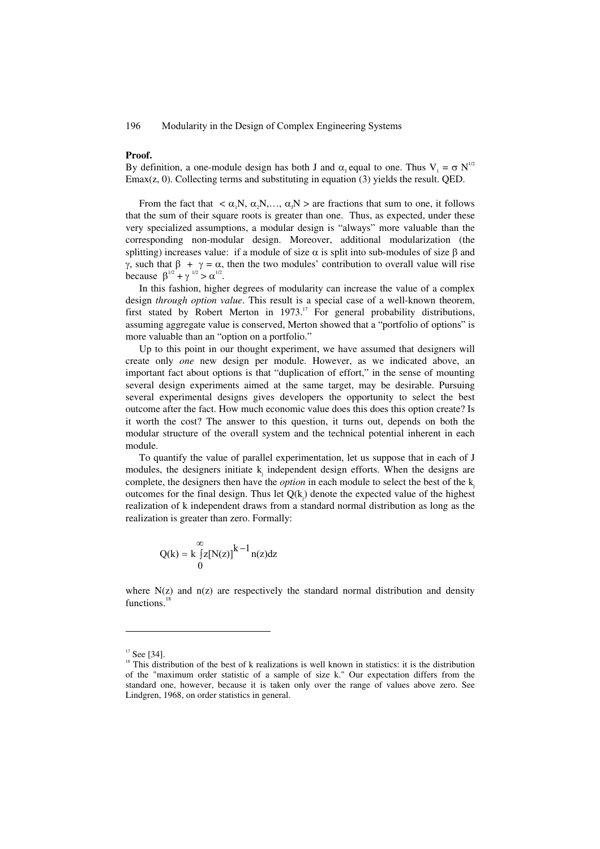#### **Proof.**

By definition, a one-module design has both J and  $\alpha_j$  equal to one. Thus  $V_1 = \sigma N^{1/2}$ Emax(z, 0). Collecting terms and substituting in equation (3) yields the result. QED.

From the fact that  $\langle \alpha_1 N, \alpha_2 N, \dots, \alpha_j N \rangle$  are fractions that sum to one, it follows that the sum of their square roots is greater than one. Thus, as expected, under these very specialized assumptions, a modular design is "always" more valuable than the corresponding non-modular design. Moreover, additional modularization (the splitting) increases value: if a module of size  $\alpha$  is split into sub-modules of size  $\beta$  and  $\gamma$ , such that  $\beta + \gamma = \alpha$ , then the two modules' contribution to overall value will rise because  $\beta^{1/2} + \gamma^{1/2} > \alpha^{1/2}$ .

In this fashion, higher degrees of modularity can increase the value of a complex design *through option value*. This result is a special case of a well-known theorem, first stated by Robert Merton in  $1973$ .<sup>17</sup> For general probability distributions, assuming aggregate value is conserved, Merton showed that a "portfolio of options" is more valuable than an "option on a portfolio."

Up to this point in our thought experiment, we have assumed that designers will create only *one* new design per module. However, as we indicated above, an important fact about options is that "duplication of effort," in the sense of mounting several design experiments aimed at the same target, may be desirable. Pursuing several experimental designs gives developers the opportunity to select the best outcome after the fact. How much economic value does this does this option create? Is it worth the cost? The answer to this question, it turns out, depends on both the modular structure of the overall system and the technical potential inherent in each module.

To quantify the value of parallel experimentation, let us suppose that in each of J modules, the designers initiate  $k_j$  independent design efforts. When the designs are complete, the designers then have the *option* in each module to select the best of the k<sub>i</sub> outcomes for the final design. Thus let  $Q(k_j)$  denote the expected value of the highest realization of k independent draws from a standard normal distribution as long as the realization is greater than zero. Formally:

$$
Q(k) = k \int_{0}^{\infty} z[N(z)]^{k-1} n(z) dz
$$

where  $N(z)$  and  $n(z)$  are respectively the standard normal distribution and density functions.<sup>1</sup>

 $17$  See [34].

<sup>&</sup>lt;sup>18</sup> This distribution of the best of k realizations is well known in statistics: it is the distribution of the "maximum order statistic of a sample of size k." Our expectation differs from the standard one, however, because it is taken only over the range of values above zero. See Lindgren, 1968, on order statistics in general.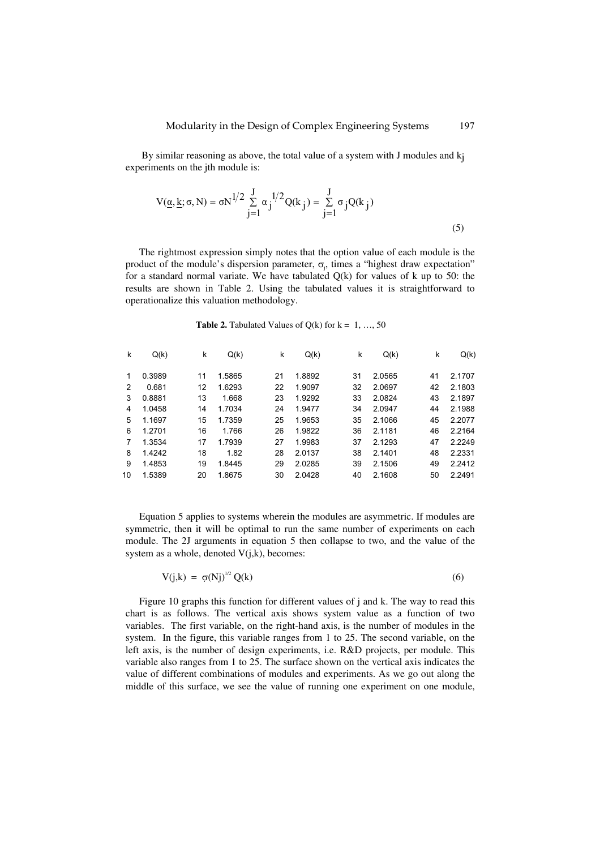By similar reasoning as above, the total value of a system with J modules and kj experiments on the jth module is:

$$
V(\underline{\alpha}, \underline{k}; \sigma, N) = \sigma N^{1/2} \sum_{j=1}^{J} \alpha_j^{1/2} Q(k_j) = \sum_{j=1}^{J} \sigma_j Q(k_j)
$$
\n(5)

The rightmost expression simply notes that the option value of each module is the product of the module's dispersion parameter,  $\sigma_j$ , times a "highest draw expectation" for a standard normal variate. We have tabulated Q(k) for values of k up to 50: the results are shown in Table 2. Using the tabulated values it is straightforward to operationalize this valuation methodology.

**Table 2.** Tabulated Values of  $Q(k)$  for  $k = 1, ..., 50$ 

| k  | Q(k)   | k  | Q(k)   | k  | Q(k)   | k  | Q(k)   | k  | Q(k)   |
|----|--------|----|--------|----|--------|----|--------|----|--------|
|    |        |    |        |    |        |    |        |    |        |
| 1  | 0.3989 | 11 | 1.5865 | 21 | 1.8892 | 31 | 2.0565 | 41 | 2.1707 |
| 2  | 0.681  | 12 | 1.6293 | 22 | 1.9097 | 32 | 2.0697 | 42 | 2.1803 |
| 3  | 0.8881 | 13 | 1.668  | 23 | 1.9292 | 33 | 2.0824 | 43 | 2.1897 |
| 4  | 1.0458 | 14 | 1.7034 | 24 | 1.9477 | 34 | 2.0947 | 44 | 2.1988 |
| 5  | 1.1697 | 15 | 1.7359 | 25 | 1.9653 | 35 | 2.1066 | 45 | 2.2077 |
| 6  | 1.2701 | 16 | 1.766  | 26 | 1.9822 | 36 | 2.1181 | 46 | 2.2164 |
|    | 1.3534 | 17 | 1.7939 | 27 | 1.9983 | 37 | 2.1293 | 47 | 2.2249 |
| 8  | 1.4242 | 18 | 1.82   | 28 | 2.0137 | 38 | 2.1401 | 48 | 2.2331 |
| 9  | 1.4853 | 19 | 1.8445 | 29 | 2.0285 | 39 | 2.1506 | 49 | 2.2412 |
| 10 | 1.5389 | 20 | 1.8675 | 30 | 2.0428 | 40 | 2.1608 | 50 | 2.2491 |
|    |        |    |        |    |        |    |        |    |        |

Equation 5 applies to systems wherein the modules are asymmetric. If modules are symmetric, then it will be optimal to run the same number of experiments on each module. The 2J arguments in equation 5 then collapse to two, and the value of the system as a whole, denoted V(j,k), becomes:

$$
V(j,k) = \sigma(Nj)^{1/2} Q(k)
$$
\n(6)

Figure 10 graphs this function for different values of j and k. The way to read this chart is as follows. The vertical axis shows system value as a function of two variables. The first variable, on the right-hand axis, is the number of modules in the system. In the figure, this variable ranges from 1 to 25. The second variable, on the left axis, is the number of design experiments, i.e. R&D projects, per module. This variable also ranges from 1 to 25. The surface shown on the vertical axis indicates the value of different combinations of modules and experiments. As we go out along the middle of this surface, we see the value of running one experiment on one module,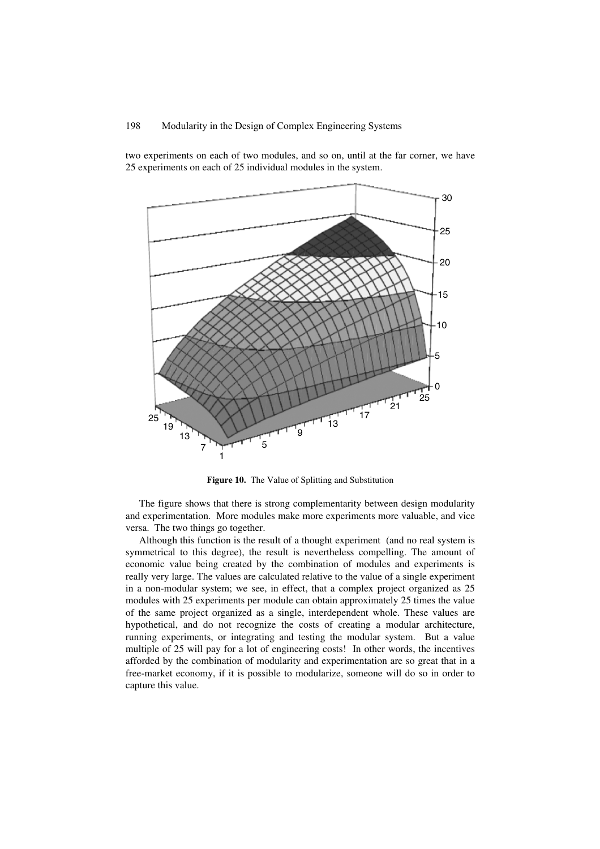

two experiments on each of two modules, and so on, until at the far corner, we have 25 experiments on each of 25 individual modules in the system.

**Figure 10.** The Value of Splitting and Substitution

The figure shows that there is strong complementarity between design modularity and experimentation. More modules make more experiments more valuable, and vice versa. The two things go together.

Although this function is the result of a thought experiment (and no real system is symmetrical to this degree), the result is nevertheless compelling. The amount of economic value being created by the combination of modules and experiments is really very large. The values are calculated relative to the value of a single experiment in a non-modular system; we see, in effect, that a complex project organized as 25 modules with 25 experiments per module can obtain approximately 25 times the value of the same project organized as a single, interdependent whole. These values are hypothetical, and do not recognize the costs of creating a modular architecture, running experiments, or integrating and testing the modular system. But a value multiple of 25 will pay for a lot of engineering costs! In other words, the incentives afforded by the combination of modularity and experimentation are so great that in a free-market economy, if it is possible to modularize, someone will do so in order to capture this value.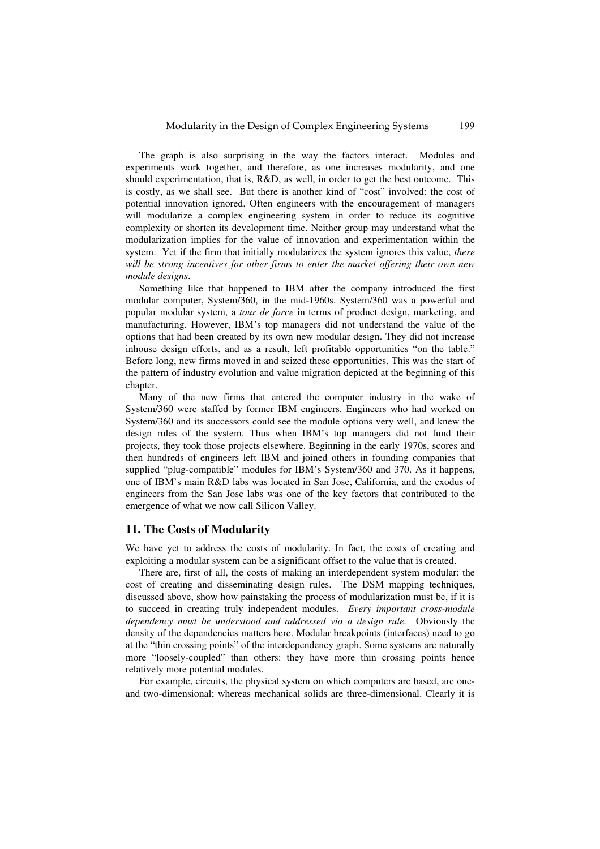The graph is also surprising in the way the factors interact. Modules and experiments work together, and therefore, as one increases modularity, and one should experimentation, that is, R&D, as well, in order to get the best outcome. This is costly, as we shall see. But there is another kind of "cost" involved: the cost of potential innovation ignored. Often engineers with the encouragement of managers will modularize a complex engineering system in order to reduce its cognitive complexity or shorten its development time. Neither group may understand what the modularization implies for the value of innovation and experimentation within the system. Yet if the firm that initially modularizes the system ignores this value, *there will be strong incentives for other firms to enter the market offering their own new module designs*.

Something like that happened to IBM after the company introduced the first modular computer, System/360, in the mid-1960s. System/360 was a powerful and popular modular system, a *tour de force* in terms of product design, marketing, and manufacturing. However, IBM's top managers did not understand the value of the options that had been created by its own new modular design. They did not increase inhouse design efforts, and as a result, left profitable opportunities "on the table." Before long, new firms moved in and seized these opportunities. This was the start of the pattern of industry evolution and value migration depicted at the beginning of this chapter.

Many of the new firms that entered the computer industry in the wake of System/360 were staffed by former IBM engineers. Engineers who had worked on System/360 and its successors could see the module options very well, and knew the design rules of the system. Thus when IBM's top managers did not fund their projects, they took those projects elsewhere. Beginning in the early 1970s, scores and then hundreds of engineers left IBM and joined others in founding companies that supplied "plug-compatible" modules for IBM's System/360 and 370. As it happens, one of IBM's main R&D labs was located in San Jose, California, and the exodus of engineers from the San Jose labs was one of the key factors that contributed to the emergence of what we now call Silicon Valley.

# **11. The Costs of Modularity**

We have yet to address the costs of modularity. In fact, the costs of creating and exploiting a modular system can be a significant offset to the value that is created.

There are, first of all, the costs of making an interdependent system modular: the cost of creating and disseminating design rules. The DSM mapping techniques, discussed above, show how painstaking the process of modularization must be, if it is to succeed in creating truly independent modules. *Every important cross-module dependency must be understood and addressed via a design rule.* Obviously the density of the dependencies matters here. Modular breakpoints (interfaces) need to go at the "thin crossing points" of the interdependency graph. Some systems are naturally more "loosely-coupled" than others: they have more thin crossing points hence relatively more potential modules.

For example, circuits, the physical system on which computers are based, are oneand two-dimensional; whereas mechanical solids are three-dimensional. Clearly it is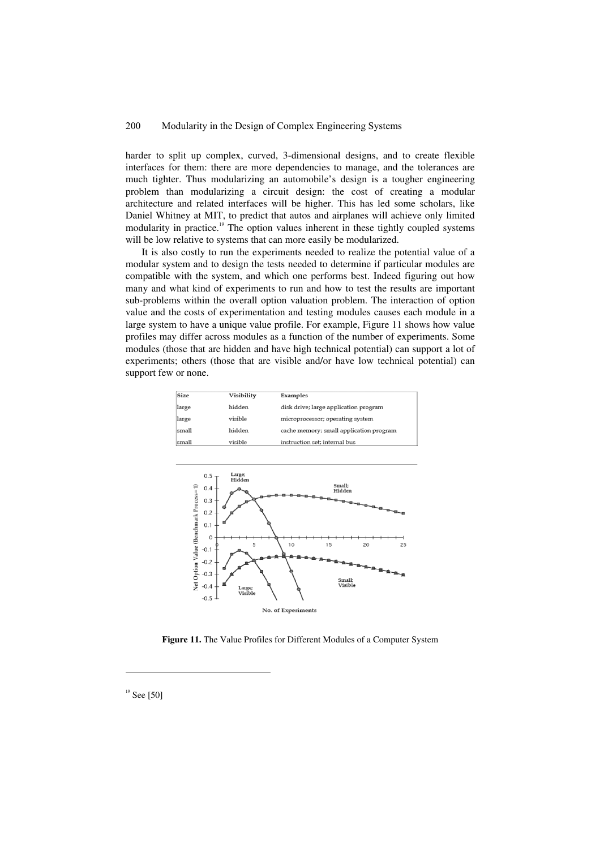harder to split up complex, curved, 3-dimensional designs, and to create flexible interfaces for them: there are more dependencies to manage, and the tolerances are much tighter. Thus modularizing an automobile's design is a tougher engineering problem than modularizing a circuit design: the cost of creating a modular architecture and related interfaces will be higher. This has led some scholars, like Daniel Whitney at MIT, to predict that autos and airplanes will achieve only limited modularity in practice.<sup>19</sup> The option values inherent in these tightly coupled systems will be low relative to systems that can more easily be modularized.

 It is also costly to run the experiments needed to realize the potential value of a modular system and to design the tests needed to determine if particular modules are compatible with the system, and which one performs best. Indeed figuring out how many and what kind of experiments to run and how to test the results are important sub-problems within the overall option valuation problem. The interaction of option value and the costs of experimentation and testing modules causes each module in a large system to have a unique value profile. For example, Figure 11 shows how value profiles may differ across modules as a function of the number of experiments. Some modules (those that are hidden and have high technical potential) can support a lot of experiments; others (those that are visible and/or have low technical potential) can support few or none.

| Size  | Visibility | Examples                                |
|-------|------------|-----------------------------------------|
| large | hidden     | disk drive; large application program   |
| large | visible    | microprocessor; operating system        |
| small | hidden     | cache memory; small application program |
| small | visible    | instruction set; internal bus           |



**Figure 11.** The Value Profiles for Different Modules of a Computer System

 $19$  See [50]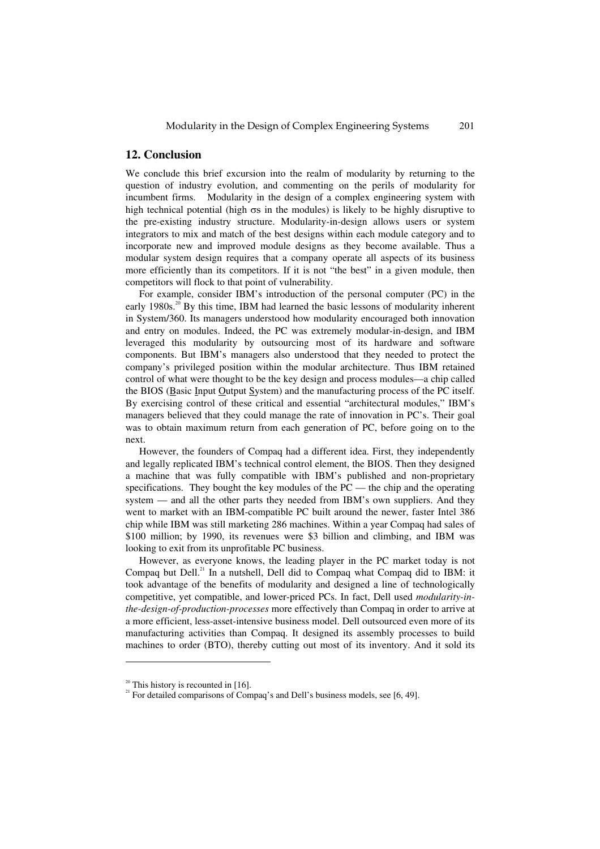#### **12. Conclusion**

We conclude this brief excursion into the realm of modularity by returning to the question of industry evolution, and commenting on the perils of modularity for incumbent firms. Modularity in the design of a complex engineering system with high technical potential (high  $\sigma s$  in the modules) is likely to be highly disruptive to the pre-existing industry structure. Modularity-in-design allows users or system integrators to mix and match of the best designs within each module category and to incorporate new and improved module designs as they become available. Thus a modular system design requires that a company operate all aspects of its business more efficiently than its competitors. If it is not "the best" in a given module, then competitors will flock to that point of vulnerability.

For example, consider IBM's introduction of the personal computer (PC) in the early 1980s.<sup>20</sup> By this time, IBM had learned the basic lessons of modularity inherent in System/360. Its managers understood how modularity encouraged both innovation and entry on modules. Indeed, the PC was extremely modular-in-design, and IBM leveraged this modularity by outsourcing most of its hardware and software components. But IBM's managers also understood that they needed to protect the company's privileged position within the modular architecture. Thus IBM retained control of what were thought to be the key design and process modules—a chip called the BIOS (Basic Input Output System) and the manufacturing process of the PC itself. By exercising control of these critical and essential "architectural modules," IBM's managers believed that they could manage the rate of innovation in PC's. Their goal was to obtain maximum return from each generation of PC, before going on to the next.

However, the founders of Compaq had a different idea. First, they independently and legally replicated IBM's technical control element, the BIOS. Then they designed a machine that was fully compatible with IBM's published and non-proprietary specifications. They bought the key modules of the PC — the chip and the operating system — and all the other parts they needed from IBM's own suppliers. And they went to market with an IBM-compatible PC built around the newer, faster Intel 386 chip while IBM was still marketing 286 machines. Within a year Compaq had sales of \$100 million; by 1990, its revenues were \$3 billion and climbing, and IBM was looking to exit from its unprofitable PC business.

However, as everyone knows, the leading player in the PC market today is not Compaq but Dell.<sup>21</sup> In a nutshell, Dell did to Compaq what Compaq did to IBM: it took advantage of the benefits of modularity and designed a line of technologically competitive, yet compatible, and lower-priced PCs. In fact, Dell used *modularity-inthe-design-of-production-processes* more effectively than Compaq in order to arrive at a more efficient, less-asset-intensive business model. Dell outsourced even more of its manufacturing activities than Compaq. It designed its assembly processes to build machines to order (BTO), thereby cutting out most of its inventory. And it sold its

 $20$  This history is recounted in [16].

<sup>&</sup>lt;sup>21</sup> For detailed comparisons of Compaq's and Dell's business models, see [6, 49].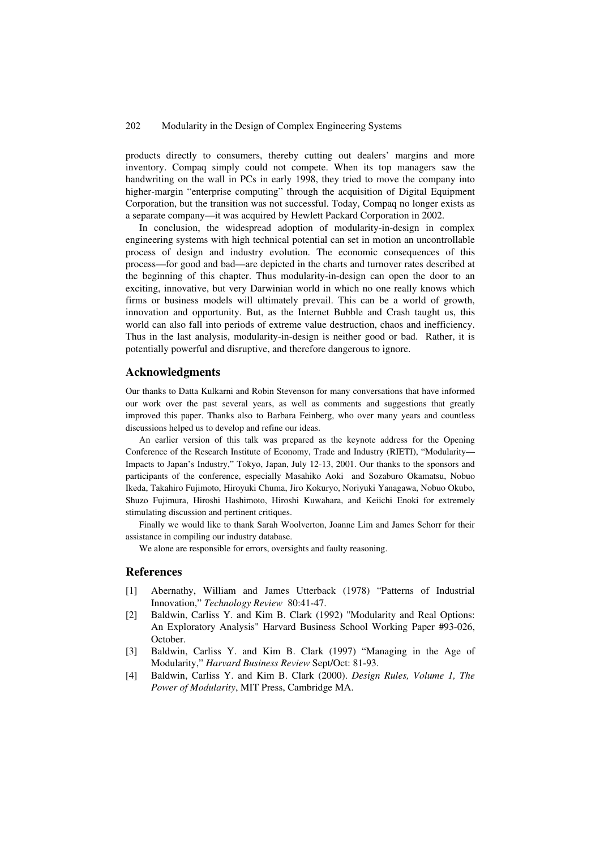products directly to consumers, thereby cutting out dealers' margins and more inventory. Compaq simply could not compete. When its top managers saw the handwriting on the wall in PCs in early 1998, they tried to move the company into higher-margin "enterprise computing" through the acquisition of Digital Equipment Corporation, but the transition was not successful. Today, Compaq no longer exists as a separate company—it was acquired by Hewlett Packard Corporation in 2002.

In conclusion, the widespread adoption of modularity-in-design in complex engineering systems with high technical potential can set in motion an uncontrollable process of design and industry evolution. The economic consequences of this process—for good and bad—are depicted in the charts and turnover rates described at the beginning of this chapter. Thus modularity-in-design can open the door to an exciting, innovative, but very Darwinian world in which no one really knows which firms or business models will ultimately prevail. This can be a world of growth, innovation and opportunity. But, as the Internet Bubble and Crash taught us, this world can also fall into periods of extreme value destruction, chaos and inefficiency. Thus in the last analysis, modularity-in-design is neither good or bad. Rather, it is potentially powerful and disruptive, and therefore dangerous to ignore.

# **Acknowledgments**

Our thanks to Datta Kulkarni and Robin Stevenson for many conversations that have informed our work over the past several years, as well as comments and suggestions that greatly improved this paper. Thanks also to Barbara Feinberg, who over many years and countless discussions helped us to develop and refine our ideas.

An earlier version of this talk was prepared as the keynote address for the Opening Conference of the Research Institute of Economy, Trade and Industry (RIETI), "Modularity— Impacts to Japan's Industry," Tokyo, Japan, July 12-13, 2001. Our thanks to the sponsors and participants of the conference, especially Masahiko Aoki and Sozaburo Okamatsu, Nobuo Ikeda, Takahiro Fujimoto, Hiroyuki Chuma, Jiro Kokuryo, Noriyuki Yanagawa, Nobuo Okubo, Shuzo Fujimura, Hiroshi Hashimoto, Hiroshi Kuwahara, and Keiichi Enoki for extremely stimulating discussion and pertinent critiques.

Finally we would like to thank Sarah Woolverton, Joanne Lim and James Schorr for their assistance in compiling our industry database.

We alone are responsible for errors, oversights and faulty reasoning.

# **References**

- [1] Abernathy, William and James Utterback (1978) "Patterns of Industrial Innovation," *Technology Review* 80:41-47.
- [2] Baldwin, Carliss Y. and Kim B. Clark (1992) "Modularity and Real Options: An Exploratory Analysis" Harvard Business School Working Paper #93-026, October.
- [3] Baldwin, Carliss Y. and Kim B. Clark (1997) "Managing in the Age of Modularity," *Harvard Business Review* Sept/Oct: 81-93.
- [4] Baldwin, Carliss Y. and Kim B. Clark (2000). *Design Rules, Volume 1, The Power of Modularity*, MIT Press, Cambridge MA.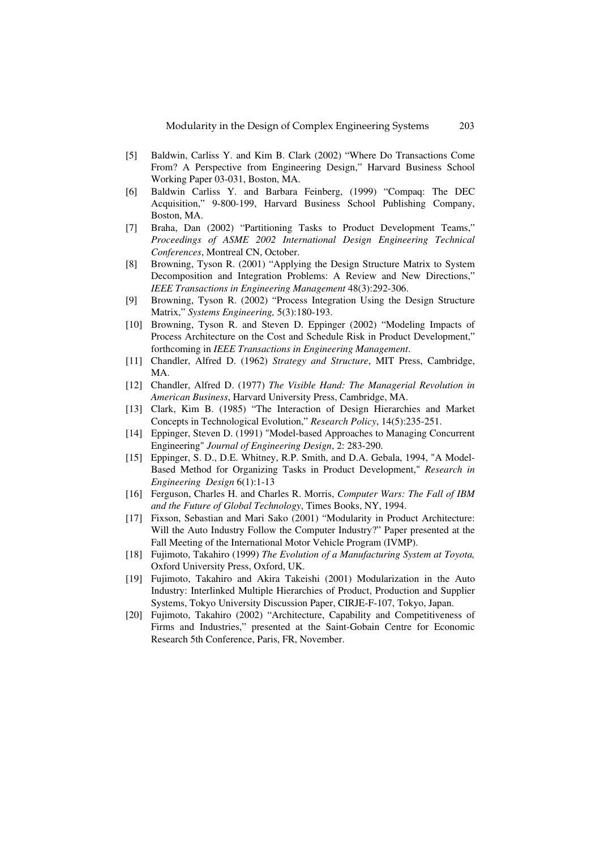- [5] Baldwin, Carliss Y. and Kim B. Clark (2002) "Where Do Transactions Come From? A Perspective from Engineering Design," Harvard Business School Working Paper 03-031, Boston, MA.
- [6] Baldwin Carliss Y. and Barbara Feinberg, (1999) "Compaq: The DEC Acquisition," 9-800-199, Harvard Business School Publishing Company, Boston, MA.
- [7] Braha, Dan (2002) "Partitioning Tasks to Product Development Teams," *Proceedings of ASME 2002 International Design Engineering Technical Conferences*, Montreal CN, October.
- [8] Browning, Tyson R. (2001) "Applying the Design Structure Matrix to System Decomposition and Integration Problems: A Review and New Directions," *IEEE Transactions in Engineering Management* 48(3):292-306.
- [9] Browning, Tyson R. (2002) "Process Integration Using the Design Structure Matrix," *Systems Engineering,* 5(3):180-193.
- [10] Browning, Tyson R. and Steven D. Eppinger (2002) "Modeling Impacts of Process Architecture on the Cost and Schedule Risk in Product Development," forthcoming in *IEEE Transactions in Engineering Management*.
- [11] Chandler, Alfred D. (1962) *Strategy and Structure*, MIT Press, Cambridge, MA.
- [12] Chandler, Alfred D. (1977) *The Visible Hand: The Managerial Revolution in American Business*, Harvard University Press, Cambridge, MA.
- [13] Clark, Kim B. (1985) "The Interaction of Design Hierarchies and Market Concepts in Technological Evolution," *Research Policy*, 14(5):235-251.
- [14] Eppinger, Steven D. (1991) "Model-based Approaches to Managing Concurrent Engineering" *Journal of Engineering Design*, 2: 283-290.
- [15] Eppinger, S. D., D.E. Whitney, R.P. Smith, and D.A. Gebala, 1994, "A Model-Based Method for Organizing Tasks in Product Development," *Research in Engineering Design* 6(1):1-13
- [16] Ferguson, Charles H. and Charles R. Morris, *Computer Wars: The Fall of IBM and the Future of Global Technology*, Times Books, NY, 1994.
- [17] Fixson, Sebastian and Mari Sako (2001) "Modularity in Product Architecture: Will the Auto Industry Follow the Computer Industry?" Paper presented at the Fall Meeting of the International Motor Vehicle Program (IVMP).
- [18] Fujimoto, Takahiro (1999) *The Evolution of a Manufacturing System at Toyota,* Oxford University Press, Oxford, UK.
- [19] Fujimoto, Takahiro and Akira Takeishi (2001) Modularization in the Auto Industry: Interlinked Multiple Hierarchies of Product, Production and Supplier Systems, Tokyo University Discussion Paper, CIRJE-F-107, Tokyo, Japan.
- [20] Fujimoto, Takahiro (2002) "Architecture, Capability and Competitiveness of Firms and Industries," presented at the Saint-Gobain Centre for Economic Research 5th Conference, Paris, FR, November.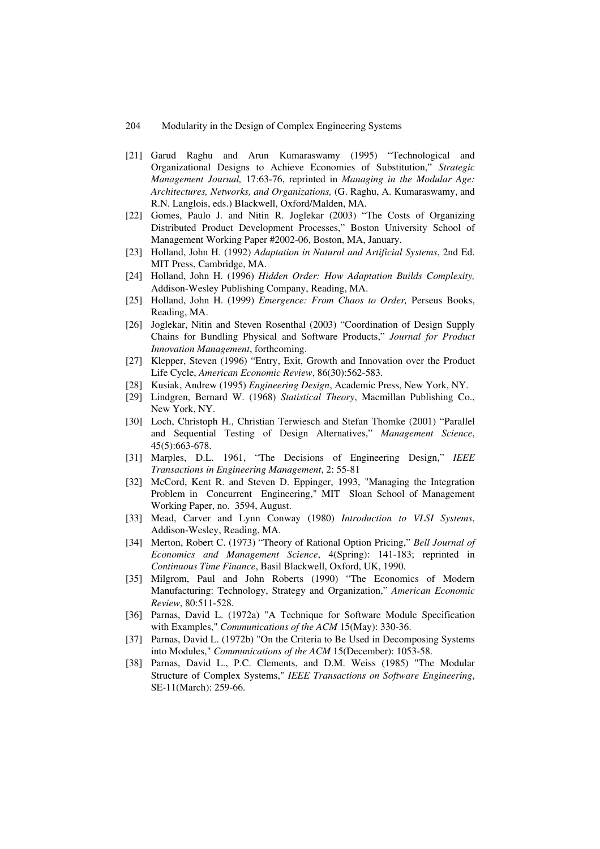- [21] Garud Raghu and Arun Kumaraswamy (1995) "Technological and Organizational Designs to Achieve Economies of Substitution," *Strategic Management Journal,* 17:63-76, reprinted in *Managing in the Modular Age: Architectures, Networks, and Organizations,* (G. Raghu, A. Kumaraswamy, and R.N. Langlois, eds.) Blackwell, Oxford/Malden, MA.
- [22] Gomes, Paulo J. and Nitin R. Joglekar (2003) "The Costs of Organizing Distributed Product Development Processes," Boston University School of Management Working Paper #2002-06, Boston, MA, January.
- [23] Holland, John H. (1992) *Adaptation in Natural and Artificial Systems*, 2nd Ed. MIT Press, Cambridge, MA.
- [24] Holland, John H. (1996) *Hidden Order: How Adaptation Builds Complexity,* Addison-Wesley Publishing Company, Reading, MA.
- [25] Holland, John H. (1999) *Emergence: From Chaos to Order,* Perseus Books, Reading, MA.
- [26] Joglekar, Nitin and Steven Rosenthal (2003) "Coordination of Design Supply Chains for Bundling Physical and Software Products," *Journal for Product Innovation Management*, forthcoming.
- [27] Klepper, Steven (1996) "Entry, Exit, Growth and Innovation over the Product Life Cycle, *American Economic Review*, 86(30):562-583.
- [28] Kusiak, Andrew (1995) *Engineering Design*, Academic Press, New York, NY.
- [29] Lindgren, Bernard W. (1968) *Statistical Theory*, Macmillan Publishing Co., New York, NY.
- [30] Loch, Christoph H., Christian Terwiesch and Stefan Thomke (2001) "Parallel and Sequential Testing of Design Alternatives," *Management Science*, 45(5):663-678.
- [31] Marples, D.L. 1961, "The Decisions of Engineering Design," *IEEE Transactions in Engineering Management*, 2: 55-81
- [32] McCord, Kent R. and Steven D. Eppinger, 1993, "Managing the Integration Problem in Concurrent Engineering," MIT Sloan School of Management Working Paper, no. 3594, August.
- [33] Mead, Carver and Lynn Conway (1980) *Introduction to VLSI Systems*, Addison-Wesley, Reading, MA.
- [34] Merton, Robert C. (1973) "Theory of Rational Option Pricing," *Bell Journal of Economics and Management Science*, 4(Spring): 141-183; reprinted in *Continuous Time Finance*, Basil Blackwell, Oxford, UK, 1990.
- [35] Milgrom, Paul and John Roberts (1990) "The Economics of Modern Manufacturing: Technology, Strategy and Organization," *American Economic Review*, 80:511-528.
- [36] Parnas, David L. (1972a) "A Technique for Software Module Specification with Examples," *Communications of the ACM* 15(May): 330-36.
- [37] Parnas, David L. (1972b) "On the Criteria to Be Used in Decomposing Systems into Modules," *Communications of the ACM* 15(December): 1053-58.
- [38] Parnas, David L., P.C. Clements, and D.M. Weiss (1985) "The Modular Structure of Complex Systems," *IEEE Transactions on Software Engineering*, SE-11(March): 259-66.